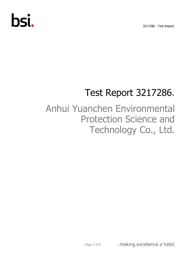3217286 - Test Report.

# bsi.

## Test Report 3217286.

## Anhui Yuanchen Environmental Protection Science and Technology Co., Ltd.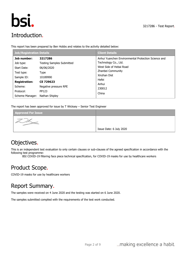

## Introduction.

This report has been prepared by Ben Hobbs and relates to the activity detailed below:

| <b>Job/Registration Details</b> |                                  | <b>Client Details</b>                               |
|---------------------------------|----------------------------------|-----------------------------------------------------|
| Job number:                     | 3217286                          | Anhui Yuanchen Environmental Protection Science and |
| Job type:                       | <b>Testing Samples Submitted</b> | Technology Co., Ltd.                                |
| Start Date:                     | 06/06/2020                       | West Side of Hebai Road                             |
| Test type:                      | Type                             | Zhanbei Community                                   |
| Sample ID:                      | 10189990                         | Xinzhan Dist                                        |
| <b>Registration:</b>            | CE 729623                        | Hefei                                               |
| Scheme:                         |                                  | Anhui                                               |
|                                 | Negative pressure RPE            | 230012                                              |
| Protocol:                       | PP123                            | China                                               |
| Scheme Manager: Nathan Shipley  |                                  |                                                     |

The report has been approved for issue by T Wicksey – Senior Test Engineer

| <b>Approved For Issue</b> |                         |
|---------------------------|-------------------------|
|                           |                         |
|                           | Issue Date: 6 July 2020 |

## Objectives.

This is an independent test evaluation to only certain clauses or sub-clauses of the agreed specification in accordance with the following test programme:

BSI COVID-19 filtering face piece technical specification, for COVID-19 masks for use by healthcare workers

## Product Scope.

COVID-19 masks for use by healthcare workers

### Report Summary.

The samples were received on 4 June 2020 and the testing was started on 6 June 2020.

The samples submitted complied with the requirements of the test work conducted.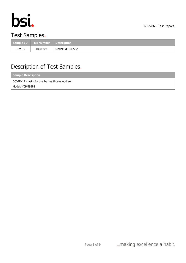

3217286 - Test Report.

## Test Samples.

|         | Sample ID ER Number Description |                 |
|---------|---------------------------------|-----------------|
| 1 to 19 | 10189990                        | Model: YCPM95P2 |

## Description of Test Samples.

| <b>Sample Description</b>                     |  |  |  |  |
|-----------------------------------------------|--|--|--|--|
| COVID-19 masks for use by healthcare workers: |  |  |  |  |
| Model: YCPM95P2                               |  |  |  |  |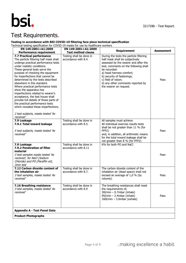

## Test Requirements.

#### **Testing in accordance with BSI COVID-19 filtering face piece technical specification**

Technical testing specification for COVID-19 masks for use by healthcare workers

| EN 149:2001+A1:2009                                                                                                                                                                                                                                                                                                                                                                                                                                                                                                                                                                                                                   | EN 149:2001+A1:2009                              | <b>Requirement</b>                                                                                                                                                                                                                                                                                                          | <b>Assessment</b> |
|---------------------------------------------------------------------------------------------------------------------------------------------------------------------------------------------------------------------------------------------------------------------------------------------------------------------------------------------------------------------------------------------------------------------------------------------------------------------------------------------------------------------------------------------------------------------------------------------------------------------------------------|--------------------------------------------------|-----------------------------------------------------------------------------------------------------------------------------------------------------------------------------------------------------------------------------------------------------------------------------------------------------------------------------|-------------------|
| <b>Performance requirement</b>                                                                                                                                                                                                                                                                                                                                                                                                                                                                                                                                                                                                        | <b>Test method clause</b>                        |                                                                                                                                                                                                                                                                                                                             |                   |
| 7.7 Practical performance<br>The particle filtering half mask shall<br>undergo practical performance tests<br>under realistic conditions.<br>These general tests serve the<br>purpose of checking the equipment<br>for imperfections that cannot be<br>determined by the tests described<br>elsewhere in this standard.<br>Where practical performance tests<br>show the apparatus has<br>imperfections related to wearer's<br>acceptance, the test house shall<br>provide full details of those parts of<br>the practical performance tests<br>which revealed these imperfections.<br>2 test subjects, masks tested 'As<br>received' | Testing shall be done in<br>accordance with 8.4. | During the tests the particle filtering<br>half mask shall be subjectively<br>assessed by the wearer and after the<br>test, comments on the following shall<br>be recorded:<br>a) head harness comfort;<br>b) security of fastenings;<br>c) field of vision;<br>d) any other comments reported by<br>the wearer on request. | Pass              |
| 7.9 Leakage<br>7.9.1 Total inward leakage<br>5 test subjects, masks tested 'As<br>received'                                                                                                                                                                                                                                                                                                                                                                                                                                                                                                                                           | Testing shall be done in<br>accordance with 8.5. | All samples must achieve<br>All individual exercise results tests<br>shall be not greater than 11 % (for<br>FFP2)<br>and, in addition, all arithmetic means<br>for the total inward leakage shall be<br>not greater than 8 % (for FFP2)                                                                                     | Pass              |
| 7.9 Leakage<br>7.9.2 Penetration of filter<br>material<br>3 test samples masks tested 'As<br>received', for NaCl (Sodium<br>Chloride) and PO (Paraffin oil),<br>3min test                                                                                                                                                                                                                                                                                                                                                                                                                                                             | Testing shall be done in<br>accordance with 8.11 | 6% for both PO and NaCl                                                                                                                                                                                                                                                                                                     | Pass              |
| 7.12 Carbon dioxide content of<br>the inhalation air<br>3 test samples, masks tested 'As<br>received'                                                                                                                                                                                                                                                                                                                                                                                                                                                                                                                                 | Testing shall be done in<br>accordance with 8.7. | The carbon dioxide content of the<br>inhalation air (dead space) shall not<br>exceed an average of 1,0 % (by<br>volume).                                                                                                                                                                                                    | Pass              |
| 7.16 Breathing resistance<br>3 test samples, masks tested 'As<br>received'                                                                                                                                                                                                                                                                                                                                                                                                                                                                                                                                                            | Testing shall be done in<br>accordance with 8.9  | The breathing resistances shall meet<br>the requirements of;<br>30l/min - 0.7mbar (inhale)<br>95l/min - 2.4mbar (inhale)<br>$160$ l/min - 3.0mbar (exhale)                                                                                                                                                                  | Pass              |
| <b>Appendix A - Test Panel Data</b>                                                                                                                                                                                                                                                                                                                                                                                                                                                                                                                                                                                                   |                                                  |                                                                                                                                                                                                                                                                                                                             |                   |
| <b>Product Photographs</b>                                                                                                                                                                                                                                                                                                                                                                                                                                                                                                                                                                                                            |                                                  |                                                                                                                                                                                                                                                                                                                             |                   |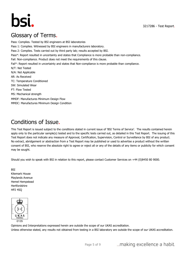3217286 - Test Report.



## Glossary of Terms.

Pass: Complies. Tested by BSI engineers at BSI laboratories Pass 1: Complies. Witnessed by BSI engineers in manufacturers laboratory. Pass 2: Complies. Tests carried out by third party lab; results accepted by BSI. Pass\*: Report resulted in uncertainty and states that Compliance is more probable than non-compliance. Fail: Non-compliance. Product does not meet the requirements of this clause. Fail\*: Report resulted in uncertainty and states that Non-compliance is more probable than compliance. N/T: Not Tested N/A: Not Applicable AR: As Received TC: Temperature Conditioned SW: Simulated Wear FT: Flow Tested MS: Mechanical strength MMDF: Manufactures Minimum Design Flow MMDC: Manufactures Minimum Design Condition

## Conditions of Issue.

This Test Report is issued subject to the conditions stated in current issue of 'BSI Terms of Service'. The results contained herein apply only to the particular sample(s) tested and to the specific tests carried out, as detailed in this Test Report. The issuing of this Test Report does not indicate any measure of Approval, Certification, Supervision, Control or Surveillance by BSI of any product. No extract, abridgement or abstraction from a Test Report may be published or used to advertise a product without the written consent of BSI, who reserve the absolute right to agree or reject all or any of the details of any items or publicity for which consent may be sought.

Should you wish to speak with BSI in relation to this report, please contact Customer Services on +44 (0)8450 80 9000.

**BSI** Kitemark House Maylands Avenue Hemel Hempstead Hertfordshire HP2 4SQ



Opinions and Interpretations expressed herein are outside the scope of our UKAS accreditation. Unless otherwise stated, any results not obtained from testing in a BSI laboratory are outside the scope of our UKAS accreditation.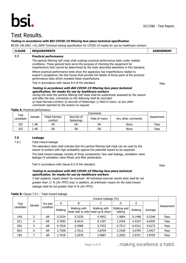# **bsi.**

Pass

### Test Results.

#### **Testing in accordance with BSI COVID-19 filtering face piece technical specification**

BS EN 149:2001 +A1:2009 Technical testing specification for COVID-19 masks for use by healthcare workers

| <b>CLAUSE</b> | <b>REQUIREMENTS</b>                                                                                                                                                                                                                                                                                    | <b>ASSESSMENT</b> |
|---------------|--------------------------------------------------------------------------------------------------------------------------------------------------------------------------------------------------------------------------------------------------------------------------------------------------------|-------------------|
| 7.7           | <b>Practical performance</b>                                                                                                                                                                                                                                                                           |                   |
|               | The particle filtering half mask shall undergo practical performance tests under realistic<br>conditions. These general tests serve the purpose of checking the equipment for<br>imperfections that cannot be determined by the tests described elsewhere in this standard.                            |                   |
|               | Where practical performance tests show the apparatus has imperfections related to<br>wearer's acceptance, the test house shall provide full details of those parts of the practical<br>performance tests which revealed these imperfections.                                                           |                   |
|               | Test in accordance with clause 8.4 of the standard.                                                                                                                                                                                                                                                    | Pass              |
|               | Testing in accordance with BSI COVID-19 filtering face piece technical<br>specification, for masks for use by healthcare workers<br>During the tests the particle filtering half mask shall be subjectively assessed by the wearer<br>and after the test, comments on the following shall be recorded: |                   |

a) head harness comfort; b) security of fastenings; c) field of vision; d) any other comments reported by the wearer on request.

|                   |        | Comments                |                           |                                       |      |            |  |
|-------------------|--------|-------------------------|---------------------------|---------------------------------------|------|------------|--|
| Test<br>candidate | Sample | Head harness<br>comfort | Security of<br>fastenings | Field of vision<br>Any other comments |      | Assessment |  |
| JS2               | l ar   | ОΚ                      | ОК                        | ОΚ                                    | None | Pass       |  |
| JS3               | 2 AR   | ОK                      | ОK                        | ОК                                    | None | Pass       |  |

#### **7.9 Leakage**

**Table A:** Practical performance

7.9.1 Total inward leakage

The laboratory tests shall indicate that the particle filtering half mask can be used by the wearer to protect with high probability against the potential hazard to be expected.

The total inward leakage consists of three components: face seal leakage, exhalation valve leakage (if exhalation valve fitted) and filter penetration.

Test in accordance with clause 8.5 of the standard.

**Testing in accordance with BSI COVID-19 filtering face piece technical specification, for masks for use by healthcare workers**

5 test subjects, masks tested 'As received'. All individual exercise results tests shall be not greater than 11 % (for FFP2) and, in addition, all arithmetic means for the total inward leakage shall be not greater than 8 % (for FFP2).

|                 |                |           | Inward Leakage (%) |              |                                                  |                        |         |         |            |
|-----------------|----------------|-----------|--------------------|--------------|--------------------------------------------------|------------------------|---------|---------|------------|
| <b>Test</b>     |                | Pre test  | A                  | B            |                                                  | D                      | Ε       |         |            |
| candidate       | Sample         | condition | Walking            | Walking with | Walking with<br>head side to side head up & down | Walking and<br>talking | Walking | Average | Assessment |
| LM <sub>2</sub> | 3              | AR        | 0.2534             | 0.3230       | 0.4952                                           | 1.4604                 | 0.1498  | 0.5346  | Pass       |
| SC <sub>1</sub> | $\overline{4}$ | <b>AR</b> | 9.7092             | 8.9414       | 8.1397                                           | 1.9764                 | 5.4107  | 6.8355  | Pass       |
| GR1             | 5              | <b>AR</b> | 0.7018             | 0.4588       | 0.7433                                           | 0.7513                 | 0.4312  | 0.6173  | Pass       |
| BH <sub>1</sub> | 6              | <b>AR</b> | 2.7508             | 2.7612       | 3.8794                                           | 2.2428                 | 3.0795  | 2.9427  | Pass       |
| CB <sub>1</sub> |                | <b>AR</b> | 2.7918             | 3.2078       | 3.0687                                           | 3.2092                 | 3.0751  | 3.0705  | Pass       |

**Table B:** Clause 7.9.1 - Total inward leakage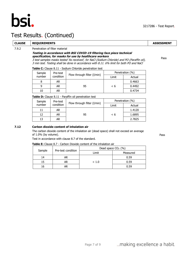

## Test Results. (Continued)

#### **CLAUSE REQUIREMENTS ASSESSMENT**

#### 7.9.2 Penetration of filter material

#### **Testing in accordance with BSI COVID-19 filtering face piece technical specification, for masks for use by healthcare workers**

3 test samples masks tested 'As received', for NaCl (Sodium Chloride) and PO (Paraffin oil), 3 min test. Testing shall be done in accordance with 8.11. 6% limit for both PO and NaCl

**Table C:** Clause 8.11 - Sodium Chloride penetration test

| Sample | Pre-test  |                             |          | Penetration (%) |
|--------|-----------|-----------------------------|----------|-----------------|
| number | condition | Flow through filter (I/min) | Limit    | Actual          |
|        | AR.       |                             |          | 0.4663          |
|        | AR        | 95                          | $\leq 6$ | 0.4492          |
| 10     | AR        |                             |          | 0.4734          |

**Table D:** Clause 8.11 - Paraffin oil penetration test

| Sample | Pre-test  | Flow through filter (I/min) |       | Penetration (%) |
|--------|-----------|-----------------------------|-------|-----------------|
| number | condition |                             | Limit | Actual          |
| 11     | AR        |                             |       | 1.4120          |
| 12     | AR        | 95                          | < 6   | 1.6895          |
| 13     | AR        |                             |       | 2.7825          |

#### **7.12 Carbon dioxide content of inhalation air**

The carbon dioxide content of the inhalation air (dead space) shall not exceed an average of 1.0% (by volume).

Test in accordance with clause 8.7 of the standard.

#### **Table E:** Clause 8.7 - Carbon Dioxide content of the inhalation air

|        | Pre-test condition | Dead space $CO2$ (%) |          |
|--------|--------------------|----------------------|----------|
| Sample |                    | Limit                | Measured |
| 14     | AR                 |                      | 0.59     |
| 15     | AR                 | ~< 1.0               | 0.59     |
| 16     | AR                 |                      | 0.59     |

Pass

Pass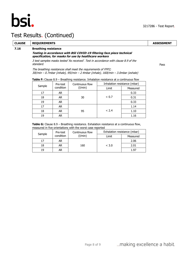

## Test Results. (Continued)

#### **CLAUSE REQUIREMENTS ASSESSMENT**

#### **7.16 Breathing resistance**

#### **Testing in accordance with BSI COVID-19 filtering face piece technical specification, for masks for use by healthcare workers**

3 test samples masks tested 'As received'. Test in accordance with clause 8.9 of the standard.

The breathing resistances shall meet the requirements of FFP2; 30l/min – 0.7mbar (inhale), 95l/min – 2.4mbar (inhale), 160l/min – 3.0mbar (exhale)

Pass

|  | Table F: Clause 8.9 - Breathing resistance. Inhalation resistance at a continuous flow |
|--|----------------------------------------------------------------------------------------|
|--|----------------------------------------------------------------------------------------|

| Sample | Pre-test<br>condition | Continuous flow | Inhalation resistance (mbar) |          |  |
|--------|-----------------------|-----------------|------------------------------|----------|--|
|        |                       | (1/min)         | Limit                        | Measured |  |
| 17     | <b>AR</b>             |                 | ~< 0.7                       | 0.33     |  |
| 18     | AR.                   | 30              |                              | 0.31     |  |
| 19     | AR.                   |                 |                              | 0.33     |  |
| 17     | <b>AR</b>             |                 | < 2.4                        | 1.14     |  |
| 18     | AR.                   | 95              |                              | 1.10     |  |
| 19     | AR.                   |                 |                              | 1.16     |  |

#### **Table G:** Clause 8.9 – Breathing resistance. Exhalation resistance at a continuous flow, measured in five orientations with the worst case reported

| Sample | Pre-test<br>condition | Continuous flow<br>(1/min) | Exhalation resistance (mbar) |          |  |
|--------|-----------------------|----------------------------|------------------------------|----------|--|
|        |                       |                            | Limit                        | Measured |  |
|        | AR                    |                            | < 3.0                        | 2.06     |  |
| 18     | AR                    | 160                        |                              | 2.01     |  |
| 19     | AR                    |                            |                              | 1.97     |  |